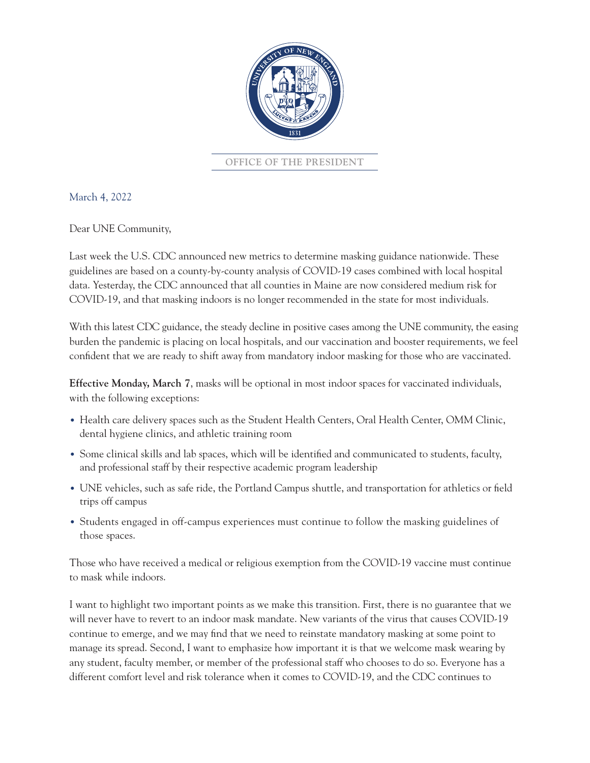

**OFFICE OF THE PRESIDENT**

March 4, 2022

Dear UNE Community,

Last week the U.S. CDC announced new metrics to determine masking guidance nationwide. These guidelines are based on a county-by-county analysis of COVID-19 cases combined with local hospital data. Yesterday, the CDC announced that all counties in Maine are now considered medium risk for COVID-19, and that masking indoors is no longer recommended in the state for most individuals.

With this latest CDC guidance, the steady decline in positive cases among the UNE community, the easing burden the pandemic is placing on local hospitals, and our vaccination and booster requirements, we feel confident that we are ready to shift away from mandatory indoor masking for those who are vaccinated.

**Effective Monday, March 7**, masks will be optional in most indoor spaces for vaccinated individuals, with the following exceptions:

- Health care delivery spaces such as the Student Health Centers, Oral Health Center, OMM Clinic, dental hygiene clinics, and athletic training room
- Some clinical skills and lab spaces, which will be identified and communicated to students, faculty, and professional staff by their respective academic program leadership
- UNE vehicles, such as safe ride, the Portland Campus shuttle, and transportation for athletics or field trips off campus
- Students engaged in off-campus experiences must continue to follow the masking guidelines of those spaces.

Those who have received a medical or religious exemption from the COVID-19 vaccine must continue to mask while indoors.

I want to highlight two important points as we make this transition. First, there is no guarantee that we will never have to revert to an indoor mask mandate. New variants of the virus that causes COVID-19 continue to emerge, and we may find that we need to reinstate mandatory masking at some point to manage its spread. Second, I want to emphasize how important it is that we welcome mask wearing by any student, faculty member, or member of the professional staff who chooses to do so. Everyone has a different comfort level and risk tolerance when it comes to COVID-19, and the CDC continues to